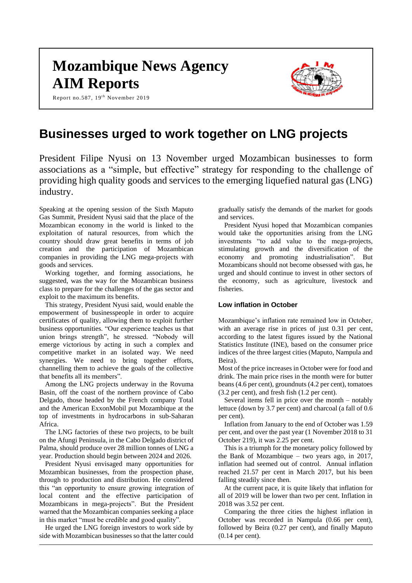# **Mozambique News Agency AIM Reports**

Report no.587,  $19<sup>th</sup>$  November 2019



# **Businesses urged to work together on LNG projects**

President Filipe Nyusi on 13 November urged Mozambican businesses to form associations as a "simple, but effective" strategy for responding to the challenge of providing high quality goods and services to the emerging liquefied natural gas (LNG) industry.

Speaking at the opening session of the Sixth Maputo Gas Summit, President Nyusi said that the place of the Mozambican economy in the world is linked to the exploitation of natural resources, from which the country should draw great benefits in terms of job creation and the participation of Mozambican companies in providing the LNG mega-projects with goods and services.

Working together, and forming associations, he suggested, was the way for the Mozambican business class to prepare for the challenges of the gas sector and exploit to the maximum its benefits.

This strategy, President Nyusi said, would enable the empowerment of businesspeople in order to acquire certificates of quality, allowing them to exploit further business opportunities. "Our experience teaches us that union brings strength", he stressed. "Nobody will emerge victorious by acting in such a complex and competitive market in an isolated way. We need synergies. We need to bring together efforts, channelling them to achieve the goals of the collective that benefits all its members".

Among the LNG projects underway in the Rovuma Basin, off the coast of the northern province of Cabo Delgado, those headed by the French company Total and the American ExxonMobil put Mozambique at the top of investments in hydrocarbons in sub-Saharan Africa.

The LNG factories of these two projects, to be built on the Afungi Peninsula, in the Cabo Delgado district of Palma, should produce over 28 million tonnes of LNG a year. Production should begin between 2024 and 2026.

President Nyusi envisaged many opportunities for Mozambican businesses, from the prospection phase, through to production and distribution. He considered this "an opportunity to ensure growing integration of local content and the effective participation of Mozambicans in mega-projects". But the President warned that the Mozambican companies seeking a place in this market "must be credible and good quality".

He urged the LNG foreign investors to work side by side with Mozambican businesses so that the latter could gradually satisfy the demands of the market for goods and services.

President Nyusi hoped that Mozambican companies would take the opportunities arising from the LNG investments "to add value to the mega-projects, stimulating growth and the diversification of the economy and promoting industrialisation". But Mozambicans should not become obsessed with gas, he urged and should continue to invest in other sectors of the economy, such as agriculture, livestock and fisheries.

#### **Low inflation in October**

Mozambique's inflation rate remained low in October, with an average rise in prices of just 0.31 per cent, according to the latest figures issued by the National Statistics Institute (INE), based on the consumer price indices of the three largest cities (Maputo, Nampula and Beira).

Most of the price increases in October were for food and drink. The main price rises in the month were for butter beans (4.6 per cent), groundnuts (4.2 per cent), tomatoes (3.2 per cent), and fresh fish (1.2 per cent).

Several items fell in price over the month – notably lettuce (down by 3.7 per cent) and charcoal (a fall of 0.6 per cent).

Inflation from January to the end of October was 1.59 per cent, and over the past year (1 November 2018 to 31 October 219), it was 2.25 per cent.

This is a triumph for the monetary policy followed by the Bank of Mozambique – two years ago, in 2017, inflation had seemed out of control. Annual inflation reached 21.57 per cent in March 2017, but his been falling steadily since then.

At the current pace, it is quite likely that inflation for all of 2019 will be lower than two per cent. Inflation in 2018 was 3.52 per cent.

Comparing the three cities the highest inflation in October was recorded in Nampula (0.66 per cent), followed by Beira (0.27 per cent), and finally Maputo (0.14 per cent).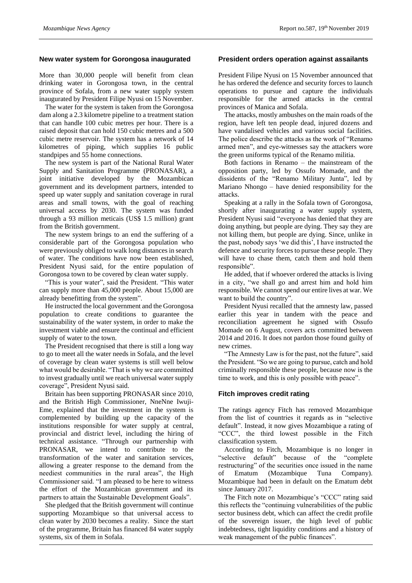### **New water system for Gorongosa inaugurated**

More than 30,000 people will benefit from clean drinking water in Gorongosa town, in the central province of Sofala, from a new water supply system inaugurated by President Filipe Nyusi on 15 November.

The water for the system is taken from the Gorongosa dam along a 2.3 kilometre pipeline to a treatment station that can handle 100 cubic metres per hour. There is a raised deposit that can hold 150 cubic metres and a 500 cubic metre reservoir. The system has a network of 14 kilometres of piping, which supplies 16 public standpipes and 55 home connections.

The new system is part of the National Rural Water Supply and Sanitation Programme (PRONASAR), a joint initiative developed by the Mozambican government and its development partners, intended to speed up water supply and sanitation coverage in rural areas and small towns, with the goal of reaching universal access by 2030. The system was funded through a 93 million meticais (US\$ 1.5 million) grant from the British government.

The new system brings to an end the suffering of a considerable part of the Gorongosa population who were previously obliged to walk long distances in search of water. The conditions have now been established, President Nyusi said, for the entire population of Gorongosa town to be covered by clean water supply.

"This is your water", said the President. "This water can supply more than 45,000 people. About 15,000 are already benefitting from the system".

He instructed the local government and the Gorongosa population to create conditions to guarantee the sustainability of the water system, in order to make the investment viable and ensure the continual and efficient supply of water to the town.

The President recognised that there is still a long way to go to meet all the water needs in Sofala, and the level of coverage by clean water systems is still well below what would be desirable. "That is why we are committed to invest gradually until we reach universal water supply coverage", President Nyusi said.

Britain has been supporting PRONASAR since 2010, and the British High Commissioner, NneNne Iwuji-Eme, explained that the investment in the system is complemented by building up the capacity of the institutions responsible for water supply at central, provincial and district level, including the hiring of technical assistance. "Through our partnership with PRONASAR, we intend to contribute to the transformation of the water and sanitation services, allowing a greater response to the demand from the neediest communities in the rural areas", the High Commissioner said. "I am pleased to be here to witness the effort of the Mozambican government and its partners to attain the Sustainable Development Goals".

She pledged that the British government will continue supporting Mozambique so that universal access to clean water by 2030 becomes a reality. Since the start of the programme, Britain has financed 84 water supply systems, six of them in Sofala.

#### **President orders operation against assailants**

President Filipe Nyusi on 15 November announced that he has ordered the defence and security forces to launch operations to pursue and capture the individuals responsible for the armed attacks in the central provinces of Manica and Sofala.

The attacks, mostly ambushes on the main roads of the region, have left ten people dead, injured dozens and have vandalised vehicles and various social facilities. The police describe the attacks as the work of "Renamo armed men", and eye-witnesses say the attackers wore the green uniforms typical of the Renamo militia.

Both factions in Renamo – the mainstream of the opposition party, led by Ossufo Momade, and the dissidents of the "Renamo Military Junta", led by Mariano Nhongo – have denied responsibility for the attacks.

Speaking at a rally in the Sofala town of Gorongosa, shortly after inaugurating a water supply system, President Nyusi said "everyone has denied that they are doing anything, but people are dying. They say they are not killing them, but people are dying. Since, unlike in the past, nobody says 'we did this', I have instructed the defence and security forces to pursue these people. They will have to chase them, catch them and hold them responsible".

He added, that if whoever ordered the attacks is living in a city, "we shall go and arrest him and hold him responsible. We cannot spend our entire lives at war. We want to build the country".

President Nyusi recalled that the amnesty law, passed earlier this year in tandem with the peace and reconciliation agreement he signed with Ossufo Momade on 6 August, covers acts committed between 2014 and 2016. It does not pardon those found guilty of new crimes.

"The Amnesty Law is for the past, not the future", said the President. "So we are going to pursue, catch and hold criminally responsible these people, because now is the time to work, and this is only possible with peace".

# **Fitch improves credit rating**

The ratings agency Fitch has removed Mozambique from the list of countries it regards as in "selective default". Instead, it now gives Mozambique a rating of "CCC", the third lowest possible in the Fitch classification system.

According to Fitch, Mozambique is no longer in "selective default" because of the "complete restructuring" of the securities once issued in the name of Ematum (Mozambique Tuna Company). Mozambique had been in default on the Ematum debt since January 2017.

The Fitch note on Mozambique's "CCC" rating said this reflects the "continuing vulnerabilities of the public sector business debt, which can affect the credit profile of the sovereign issuer, the high level of public indebtedness, tight liquidity conditions and a history of weak management of the public finances".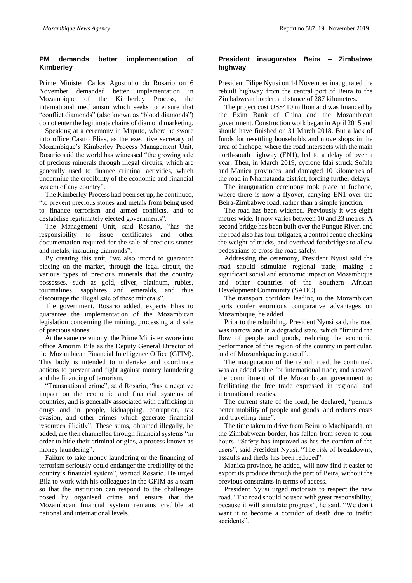# **PM demands better implementation of Kimberley**

Prime Minister Carlos Agostinho do Rosario on 6 November demanded better implementation in Mozambique of the Kimberley Process, the international mechanism which seeks to ensure that "conflict diamonds" (also known as "blood diamonds") do not enter the legitimate chains of diamond marketing.

Speaking at a ceremony in Maputo, where he swore into office Castro Elias, as the executive secretary of Mozambique's Kimberley Process Management Unit, Rosario said the world has witnessed "the growing sale of precious minerals through illegal circuits, which are generally used to finance criminal activities, which undermine the credibility of the economic and financial system of any country".

The Kimberley Process had been set up, he continued, "to prevent precious stones and metals from being used to finance terrorism and armed conflicts, and to destabilise legitimately elected governments".

The Management Unit, said Rosario, "has the responsibility to issue certificates and other documentation required for the sale of precious stones and metals, including diamonds".

By creating this unit, "we also intend to guarantee placing on the market, through the legal circuit, the various types of precious minerals that the country possesses, such as gold, silver, platinum, rubies, tourmalines, sapphires and emeralds, and thus discourage the illegal sale of these minerals".

The government, Rosario added, expects Elias to guarantee the implementation of the Mozambican legislation concerning the mining, processing and sale of precious stones.

At the same ceremony, the Prime Minister swore into office Amorim Bila as the Deputy General Director of the Mozambican Financial Intelligence Office (GFIM). This body is intended to undertake and coordinate actions to prevent and fight against money laundering and the financing of terrorism.

"Transnational crime", said Rosario, "has a negative impact on the economic and financial systems of countries, and is generally associated with trafficking in drugs and in people, kidnapping, corruption, tax evasion, and other crimes which generate financial resources illicitly". These sums, obtained illegally, he added, are then channelled through financial systems "in order to hide their criminal origins, a process known as money laundering".

Failure to take money laundering or the financing of terrorism seriously could endanger the credibility of the country's financial system", warned Rosario. He urged Bila to work with his colleagues in the GFIM as a team so that the institution can respond to the challenges posed by organised crime and ensure that the Mozambican financial system remains credible at national and international levels.

# **President inaugurates Beira – Zimbabwe highway**

President Filipe Nyusi on 14 November inaugurated the rebuilt highway from the central port of Beira to the Zimbabwean border, a distance of 287 kilometres.

The project cost US\$410 million and was financed by the Exim Bank of China and the Mozambican government. Construction work began in April 2015 and should have finished on 31 March 2018. But a lack of funds for resettling households and move shops in the area of Inchope, where the road intersects with the main north-south highway (EN1), led to a delay of over a year. Then, in March 2019, cyclone Idai struck Sofala and Manica provinces, and damaged 10 kilometres of the road in Nhamatanda district, forcing further delays.

The inauguration ceremony took place at Inchope, where there is now a flyover, carrying EN1 over the Beira-Zimbabwe road, rather than a simple junction.

The road has been widened. Previously it was eight metres wide. It now varies between 10 and 23 metres. A second bridge has been built over the Pungue River, and the road also has four tollgates, a control centre checking the weight of trucks, and overhead footbridges to allow pedestrians to cross the road safely.

Addressing the ceremony, President Nyusi said the road should stimulate regional trade, making a significant social and economic impact on Mozambique and other countries of the Southern African Development Community (SADC).

The transport corridors leading to the Mozambican ports confer enormous comparative advantages on Mozambique, he added.

Prior to the rebuilding, President Nyusi said, the road was narrow and in a degraded state, which "limited the flow of people and goods, reducing the economic performance of this region of the country in particular, and of Mozambique in general".

The inauguration of the rebuilt road, he continued, was an added value for international trade, and showed the commitment of the Mozambican government to facilitating the free trade expressed in regional and international treaties.

The current state of the road, he declared, "permits better mobility of people and goods, and reduces costs and travelling time".

The time taken to drive from Beira to Machipanda, on the Zimbabwean border, has fallen from seven to four hours. "Safety has improved as has the comfort of the users", said President Nyusi. "The risk of breakdowns, assaults and thefts has been reduced".

Manica province, he added, will now find it easier to export its produce through the port of Beira, without the previous constraints in terms of access.

President Nyusi urged motorists to respect the new road. "The road should be used with great responsibility, because it will stimulate progress", he said. "We don't want it to become a corridor of death due to traffic accidents".